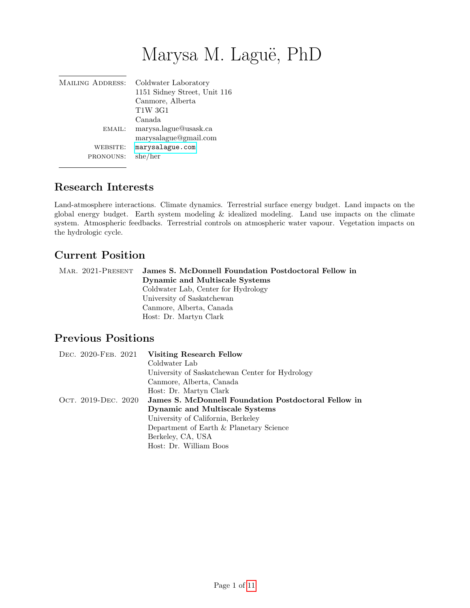# Marysa M. Laguë, PhD

| <b>MAILING ADDRESS:</b> | Coldwater Laboratory<br>1151 Sidney Street, Unit 116<br>Canmore, Alberta<br><b>T1W 3G1</b><br>Canada |
|-------------------------|------------------------------------------------------------------------------------------------------|
| EMAIL:                  | marysa.lague@usask.ca<br>marysalague@gmail.com                                                       |
| WEBSITE:<br>PRONOUNS:   | marysalague.com<br>she/her                                                                           |

# Research Interests

Land-atmosphere interactions. Climate dynamics. Terrestrial surface energy budget. Land impacts on the global energy budget. Earth system modeling & idealized modeling. Land use impacts on the climate system. Atmospheric feedbacks. Terrestrial controls on atmospheric water vapour. Vegetation impacts on the hydrologic cycle.

# Current Position

| MAR. 2021-PRESENT | James S. McDonnell Foundation Postdoctoral Fellow in |  |
|-------------------|------------------------------------------------------|--|
|                   | Dynamic and Multiscale Systems                       |  |
|                   | Coldwater Lab, Center for Hydrology                  |  |
|                   | University of Saskatchewan                           |  |
|                   | Canmore, Alberta, Canada                             |  |
|                   | Host: Dr. Martyn Clark                               |  |

# Previous Positions

| DEC. 2020-FEB. 2021 | <b>Visiting Research Fellow</b>                      |
|---------------------|------------------------------------------------------|
|                     | Coldwater Lab                                        |
|                     | University of Saskatchewan Center for Hydrology      |
|                     | Canmore, Alberta, Canada                             |
|                     | Host: Dr. Martyn Clark                               |
| Ост. 2019-DEC. 2020 | James S. McDonnell Foundation Postdoctoral Fellow in |
|                     | Dynamic and Multiscale Systems                       |
|                     | University of California, Berkeley                   |
|                     | Department of Earth & Planetary Science              |
|                     | Berkeley, CA, USA                                    |
|                     | Host: Dr. William Boos                               |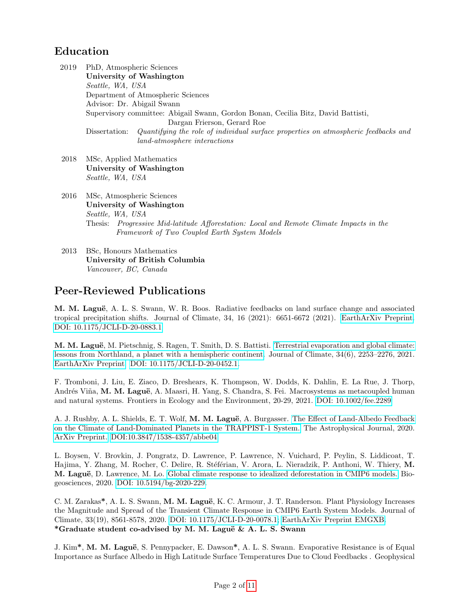# Education

2019 PhD, Atmospheric Sciences University of Washington Seattle, WA, USA Department of Atmospheric Sciences Advisor: Dr. Abigail Swann Supervisory committee: Abigail Swann, Gordon Bonan, Cecilia Bitz, David Battisti, Dargan Frierson, Gerard Roe Dissertation: Quantifying the role of individual surface properties on atmospheric feedbacks and land-atmosphere interactions

2018 MSc, Applied Mathematics University of Washington Seattle, WA, USA

2016 MSc, Atmospheric Sciences University of Washington Seattle, WA, USA Thesis: Progressive Mid-latitude Afforestation: Local and Remote Climate Impacts in the Framework of Two Coupled Earth System Models

2013 BSc, Honours Mathematics University of British Columbia Vancouver, BC, Canada

### Peer-Reviewed Publications

M. M. Laguë, A. L. S. Swann, W. R. Boos. Radiative feedbacks on land surface change and associated tropical precipitation shifts. Journal of Climate, 34, 16 (2021): 6651-6672 (2021). [EarthArXiv Preprint.](https://eartharxiv.org/repository/view/1827/) [DOI: 10.1175/JCLI-D-20-0883.1](https://doi.org/10.1175/JCLI-D-20-0883.1)

M. M. Laguë, M. Pietschnig, S. Ragen, T. Smith, D. S. Battisti. [Terrestrial evaporation and global climate:](https://doi.org/10.1175/JCLI-D-20-0452.1) [lessons from Northland, a planet with a hemispheric continent.](https://doi.org/10.1175/JCLI-D-20-0452.1) Journal of Climate, 34(6), 2253–2276, 2021. [EarthArXiv Preprint.](https://eartharxiv.org/repository/view/135/) [DOI: 10.1175/JCLI-D-20-0452.1.](https://doi.org/10.1175/JCLI-D-20-0452.1)

F. Tromboni, J. Liu, E. Ziaco, D. Breshears, K. Thompson, W. Dodds, K. Dahlin, E. La Rue, J. Thorp, Andrés Viña, M. M. Laguë, A. Maasri, H. Yang, S. Chandra, S. Fei. Macrosystems as metacoupled human and natural systems. Frontiers in Ecology and the Environment, 20-29, 2021. [DOI: 10.1002/fee.2289](https://esajournals.onlinelibrary.wiley.com/doi/10.1002/fee.2289)

A. J. Rushby, A. L. Shields, E. T. Wolf, M. M. Laguë, A. Burgasser. [The Effect of Land-Albedo Feedback](https://iopscience.iop.org/article/10.3847/1538-4357/abbe04) [on the Climate of Land-Dominated Planets in the TRAPPIST-1 System.](https://iopscience.iop.org/article/10.3847/1538-4357/abbe04) The Astrophysical Journal, 2020. [ArXiv Preprint.](https://arxiv.org/abs/2011.03621) [DOI:10.3847/1538-4357/abbe04.](https://doi.org/10.3847/1538-4357/abbe04)

L. Boysen, V. Brovkin, J. Pongratz, D. Lawrence, P. Lawrence, N. Vuichard, P. Peylin, S. Liddicoat, T. Hajima, Y. Zhang, M. Rocher, C. Delire, R. Stéférian, V. Arora, L. Nieradzik, P. Anthoni, W. Thiery, M. M. Laguë, D. Lawrence, M. Lo. [Global climate response to idealized deforestation in CMIP6 models.](https://bg.copernicus.org/articles/17/5615/2020/) Biogeosciences, 2020. [DOI: 10.5194/bg-2020-229.](https://doi.org/10.5194/bg-2020-229)

C. M. Zarakas\*, A. L. S. Swann, M. M. Laguë, K. C. Armour, J. T. Randerson. Plant Physiology Increases the Magnitude and Spread of the Transient Climate Response in CMIP6 Earth System Models. Journal of Climate, 33(19), 8561-8578, 2020. [DOI: 10.1175/JCLI-D-20-0078.1;]( https://doi.org/10.1175/JCLI-D-20-0078.1) [EarthArXiv Preprint EMGXB.](https://eartharxiv.org/emgxb/) \*Graduate student co-advised by M. M. Laguë  $\&$  A. L. S. Swann

J. Kim<sup>\*</sup>, M. M. Laguë, S. Pennypacker, E. Dawson<sup>\*</sup>, A. L. S. Swann. Evaporative Resistance is of Equal Importance as Surface Albedo in High Latitude Surface Temperatures Due to Cloud Feedbacks . Geophysical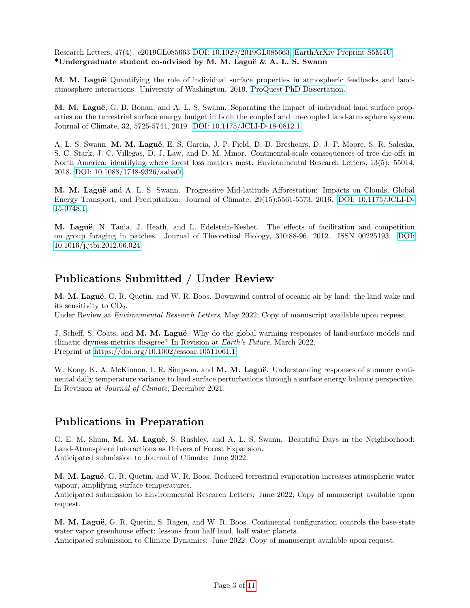Research Letters, 47(4). e2019GL085663 [DOI: 10.1029/2019GL085663;](https://doi.org/10.1029/2019GL085663) [EarthArXiv Preprint S5M4U.](https://eartharxiv.org/s5m4u/) \*Undergraduate student co-advised by M. M. Laguë  $\&$  A. L. S. Swann

M. M. Laguë Quantifying the role of individual surface properties in atmospheric feedbacks and landatmosphere interactions. University of Washington. 2019. [ProQuest PhD Dissertation.](https://marysalague.files.wordpress.com/2020/02/lague_phd_washington_2019.pdf)

M. M. Laguë, G. B. Bonan, and A. L. S. Swann. Separating the impact of individual land surface properties on the terrestrial surface energy budget in both the coupled and un-coupled land-atmosphere system. Journal of Climate, 32, 5725-5744, 2019. [DOI: 10.1175/JCLI-D-18-0812.1.](https://doi.org/10.1175/JCLI-D-18-0812.1)

A. L. S. Swann, M. M. Laguë, E. S. Garcia, J. P. Field, D. D. Breshears, D. J. P. Moore, S. R. Saleska, S. C. Stark, J. C. Villegas, D. J. Law, and D. M. Minor. Continental-scale consequences of tree die-offs in North America: identifying where forest loss matters most. Environmental Research Letters, 13(5): 55014, 2018. [DOI: 10.1088/1748-9326/aaba0f.](https://doi.org/10.1088/1748-9326/aaba0f)

M. M. Laguë and A. L. S. Swann. Progressive Mid-latitude Afforestation: Impacts on Clouds, Global Energy Transport, and Precipitation. Journal of Climate, 29(15):5561-5573, 2016. [DOI: 10.1175/JCLI-D-](https://doi.org/10.1175/JCLI-D-15-0748.1)[15-0748.1.](https://doi.org/10.1175/JCLI-D-15-0748.1)

M. Laguë, N. Tania, J. Heath, and L. Edelstein-Keshet. The effects of facilitation and competition on group foraging in patches. Journal of Theoretical Biology, 310:88-96, 2012. ISSN 00225193. [DOI:](https://doi.org/10.1016/j.jtbi.2012.06.024) [10.1016/j.jtbi.2012.06.024.](https://doi.org/10.1016/j.jtbi.2012.06.024)

# Publications Submitted / Under Review

M. M. Laguë, G. R. Quetin, and W. R. Boos. Downwind control of oceanic air by land: the land wake and its sensitivity to  $CO<sub>2</sub>$ .

Under Review at *Environmental Research Letters*, May 2022; Copy of manuscript available upon request.

J. Scheff, S. Coats, and M. M. Laguë. Why do the global warming responses of land-surface models and climatic dryness metrics disagree? In Revision at Earth's Future, March 2022. Preprint at [https://doi.org/10.1002/essoar.10511061.1.](https://doi.org/10.1002/essoar.10511061.1)

W. Kong, K. A. McKinnon, I. R. Simpson, and M. M. Laguë. Understanding responses of summer continental daily temperature variance to land surface perturbations through a surface energy balance perspective. In Revision at Journal of Climate, December 2021.

# Publications in Preparation

G. E. M. Shum, M. M. Laguë, S. Rushley, and A. L. S. Swann. Beautiful Days in the Neighborhood: Land-Atmosphere Interactions as Drivers of Forest Expansion. Anticipated submission to Journal of Climate: June 2022.

M. M. Laguë, G. R. Quetin, and W. R. Boos. Reduced terrestrial evaporation increases atmospheric water vapour, amplifying surface temperatures.

Anticipated submission to Environmental Research Letters: June 2022; Copy of manuscript available upon request.

M. M. Laguë, G. R. Quetin, S. Ragen, and W. R. Boos. Continental configuration controls the base-state water vapor greenhouse effect: lessons from half land, half water planets.

Anticipated submission to Climate Dynamics: June 2022; Copy of manuscript available upon request.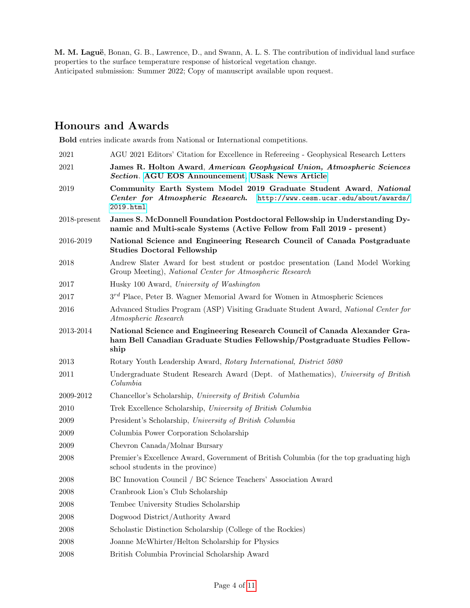M. M. Laguë, Bonan, G. B., Lawrence, D., and Swann, A. L. S. The contribution of individual land surface properties to the surface temperature response of historical vegetation change. Anticipated submission: Summer 2022; Copy of manuscript available upon request.

# Honours and Awards

Bold entries indicate awards from National or International competitions.

| 2021            | AGU 2021 Editors' Citation for Excellence in Reference - Geophysical Research Letters                                                                            |
|-----------------|------------------------------------------------------------------------------------------------------------------------------------------------------------------|
| 2021            | James R. Holton Award, American Geophysical Union, Atmospheric Sciences<br>Section. AGU EOS Announcement, USask News Article                                     |
| 2019            | Community Earth System Model 2019 Graduate Student Award, National<br>Center for Atmospheric Research.<br>http://www.cesm.ucar.edu/about/awards/<br>2019.html    |
| $2018$ -present | James S. McDonnell Foundation Postdoctoral Fellowship in Understanding Dy-<br>namic and Multi-scale Systems (Active Fellow from Fall 2019 - present)             |
| 2016-2019       | National Science and Engineering Research Council of Canada Postgraduate<br><b>Studies Doctoral Fellowship</b>                                                   |
| 2018            | Andrew Slater Award for best student or postdoc presentation (Land Model Working)<br>Group Meeting), National Center for Atmospheric Research                    |
| 2017            | Husky 100 Award, University of Washington                                                                                                                        |
| 2017            | $3^{rd}$ Place, Peter B. Wagner Memorial Award for Women in Atmospheric Sciences                                                                                 |
| 2016            | Advanced Studies Program (ASP) Visiting Graduate Student Award, National Center for<br>Atmospheric Research                                                      |
| 2013-2014       | National Science and Engineering Research Council of Canada Alexander Gra-<br>ham Bell Canadian Graduate Studies Fellowship/Postgraduate Studies Fellow-<br>ship |
| 2013            | Rotary Youth Leadership Award, Rotary International, District 5080                                                                                               |
| 2011            | Undergraduate Student Research Award (Dept. of Mathematics), University of British<br>Columnbia                                                                  |
| 2009-2012       | Chancellor's Scholarship, University of British Columbia                                                                                                         |
| 2010            | Trek Excellence Scholarship, University of British Columbia                                                                                                      |
| 2009            | President's Scholarship, University of British Columbia                                                                                                          |
| 2009            | Columbia Power Corporation Scholarship                                                                                                                           |
| 2009            | Chevron Canada/Molnar Bursary                                                                                                                                    |
| 2008            | Premier's Excellence Award, Government of British Columbia (for the top graduating high<br>school students in the province)                                      |
| 2008            | BC Innovation Council / BC Science Teachers' Association Award                                                                                                   |
| 2008            | Cranbrook Lion's Club Scholarship                                                                                                                                |
| 2008            | Tembec University Studies Scholarship                                                                                                                            |
| 2008            | Dogwood District/Authority Award                                                                                                                                 |
| 2008            | Scholastic Distinction Scholarship (College of the Rockies)                                                                                                      |
| $\,2008\,$      | Joanne McWhirter/Helton Scholarship for Physics                                                                                                                  |
| 2008            | British Columbia Provincial Scholarship Award                                                                                                                    |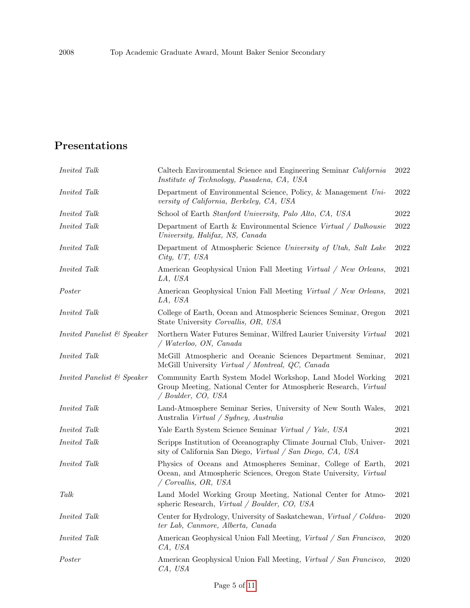# Presentations

| <i>Invited Talk</i>        | Caltech Environmental Science and Engineering Seminar California<br>Institute of Technology, Pasadena, CA, USA                                                   | 2022     |
|----------------------------|------------------------------------------------------------------------------------------------------------------------------------------------------------------|----------|
| <i>Invited Talk</i>        | Department of Environmental Science, Policy, & Management Uni-<br>versity of California, Berkeley, CA, USA                                                       | 2022     |
| <i>Invited Talk</i>        | School of Earth Stanford University, Palo Alto, CA, USA                                                                                                          | 2022     |
| <i>Invited Talk</i>        | Department of Earth & Environmental Science Virtual / Dalhousie<br>University, Halifax, NS, Canada                                                               | 2022     |
| <i>Invited Talk</i>        | Department of Atmospheric Science University of Utah, Salt Lake<br>City, UT, USA                                                                                 | 2022     |
| Invited Talk               | American Geophysical Union Fall Meeting Virtual / New Orleans,<br>LA, USA                                                                                        | 2021     |
| Poster                     | American Geophysical Union Fall Meeting Virtual / New Orleans,<br>LA, USA                                                                                        | 2021     |
| <i>Invited Talk</i>        | College of Earth, Ocean and Atmospheric Sciences Seminar, Oregon<br>State University Corvallis, OR, USA                                                          | 2021     |
| Invited Panelist & Speaker | Northern Water Futures Seminar, Wilfred Laurier University Virtual<br>$\sqrt{Waterloo, ON, Canada}$                                                              | 2021     |
| <i>Invited Talk</i>        | McGill Atmospheric and Oceanic Sciences Department Seminar,<br>McGill University Virtual / Montreal, QC, Canada                                                  | 2021     |
| Invited Panelist & Speaker | Community Earth System Model Workshop, Land Model Working<br>Group Meeting, National Center for Atmospheric Research, Virtual<br>/ Boulder, CO, USA              | 2021     |
| Invited Talk               | Land-Atmosphere Seminar Series, University of New South Wales,<br>Australia Virtual / Sydney, Australia                                                          | 2021     |
| <i>Invited Talk</i>        | Yale Earth System Science Seminar Virtual / Yale, USA                                                                                                            | 2021     |
| <i>Invited Talk</i>        | Scripps Institution of Oceanography Climate Journal Club, Univer-<br>sity of California San Diego, Virtual / San Diego, CA, USA                                  | 2021     |
| Invited Talk               | Physics of Oceans and Atmospheres Seminar, College of Earth,<br>Ocean, and Atmospheric Sciences, Oregon State University, Virtual<br>$\sqrt{Covallis}$ , OR, USA | 2021     |
| Talk                       | Land Model Working Group Meeting, National Center for Atmo-<br>spheric Research, Virtual / Boulder, CO, USA                                                      | 2021     |
| <i>Invited Talk</i>        | Center for Hydrology, University of Saskatchewan, Virtual / Coldwa-<br>ter Lab, Canmore, Alberta, Canada                                                         | 2020     |
| <i>Invited Talk</i>        | American Geophysical Union Fall Meeting, Virtual / San Francisco,<br>CA, USA                                                                                     | $2020\,$ |
| Poster                     | American Geophysical Union Fall Meeting, Virtual / San Francisco,<br>CA, USA                                                                                     | 2020     |

Page 5 of [11](#page-10-0)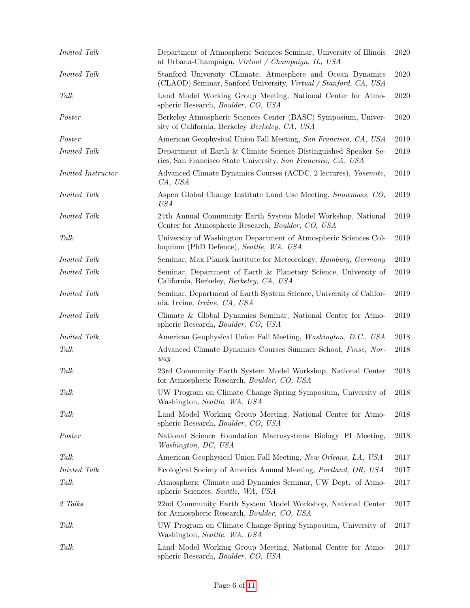| Invited Talk        |                           | Department of Atmospheric Sciences Seminar, University of Illinois<br>at Urbana-Champaign, Virtual / Champaign, IL, USA         | 2020       |
|---------------------|---------------------------|---------------------------------------------------------------------------------------------------------------------------------|------------|
| <i>Invited Talk</i> |                           | Stanford University CLimate, Atmosphere and Ocean Dynamics<br>(CLAOD) Seminar, Sanford University, Virtual / Stanford, CA, USA  | 2020       |
| Talk                |                           | Land Model Working Group Meeting, National Center for Atmo-<br>spheric Research, Boulder, CO, USA                               | 2020       |
| Poster              |                           | Berkeley Atmospheric Sciences Center (BASC) Symposium, Univer-<br>sity of California, Berkeley Berkeley, CA, USA                | 2020       |
| Poster              |                           | American Geophysical Union Fall Meeting, San Francisco, CA, USA                                                                 | 2019       |
| <i>Invited Talk</i> |                           | Department of Earth & Climate Science Distinguished Speaker Se-<br>ries, San Francisco State University, San Francisco, CA, USA | 2019       |
|                     | <i>Invited Instructor</i> | Advanced Climate Dynamics Courses (ACDC, 2 lectures), <i>Yosemite</i> ,<br>CA, USA                                              | 2019       |
| <i>Invited Talk</i> |                           | Aspen Global Change Institute Land Use Meeting, Snowmass, CO,<br><b>USA</b>                                                     | $\,2019\,$ |
| <i>Invited Talk</i> |                           | 24th Annual Community Earth System Model Workshop, National<br>Center for Atmospheric Research, Boulder, CO, USA                | 2019       |
| Talk                |                           | University of Washington Department of Atmospheric Sciences Col-<br>loquium (PhD Defence), Seattle, WA, USA                     | 2019       |
| <i>Invited Talk</i> |                           | Seminar, Max Planck Institute for Meteorology, <i>Hamburg</i> , <i>Germany</i>                                                  | 2019       |
| <i>Invited Talk</i> |                           | Seminar, Department of Earth & Planetary Science, University of<br>California, Berkeley, Berkeley, CA, USA                      | 2019       |
| <i>Invited Talk</i> |                           | Seminar, Department of Earth System Science, University of Califor-<br>nia, Irvine, <i>Irvine</i> , <i>CA</i> , <i>USA</i>      | $\,2019$   |
| Invited Talk        |                           | Climate & Global Dynamics Seminar, National Center for Atmo-<br>spheric Research, <i>Boulder</i> , CO, USA                      | 2019       |
| <i>Invited Talk</i> |                           | American Geophysical Union Fall Meeting, Washington, D.C., USA                                                                  | 2018       |
| Talk                |                           | Advanced Climate Dynamics Courses Summer School, Finse, Nor-<br>way                                                             | 2018       |
| Talk                |                           | 23rd Community Earth System Model Workshop, National Center<br>for Atmospheric Research, <i>Boulder</i> , CO, USA               | 2018       |
| $\mathit{Talk}$     |                           | UW Program on Climate Change Spring Symposium, University of 2018<br>Washington, Seattle, WA, USA                               |            |
| Talk                |                           | Land Model Working Group Meeting, National Center for Atmo-<br>spheric Research, Boulder, CO, USA                               | $\,2018$   |
| Poster              |                           | National Science Foundation Macrosystems Biology PI Meeting,<br>Washington, DC, USA                                             | 2018       |
| Talk                |                           | American Geophysical Union Fall Meeting, New Orleans, LA, USA                                                                   | 2017       |
| Inivted Talk        |                           | Ecological Society of America Annual Meeting, Portland, OR, USA                                                                 | 2017       |
| Talk                |                           | Atmospheric Climate and Dynamics Seminar, UW Dept. of Atmo-<br>spheric Sciences, Seattle, WA, USA                               | 2017       |
| 2 Talks             |                           | 22nd Community Earth System Model Workshop, National Center<br>for Atmospheric Research, Boulder, CO, USA                       | $2017\,$   |
| Talk                |                           | UW Program on Climate Change Spring Symposium, University of<br>Washington, Seattle, WA, USA                                    | 2017       |
| Talk                |                           | Land Model Working Group Meeting, National Center for Atmo-<br>spheric Research, Boulder, CO, USA                               | 2017       |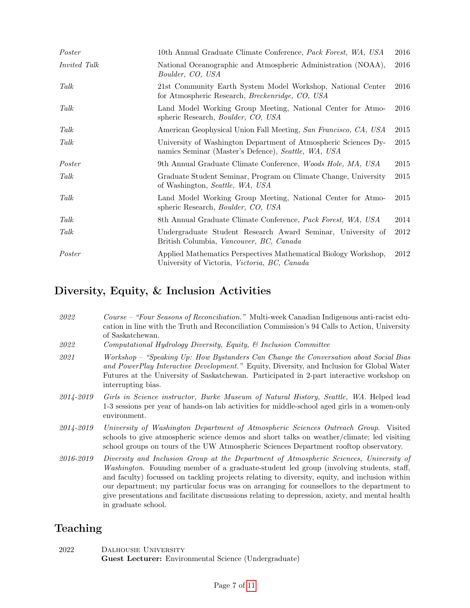| Poster              | 10th Annual Graduate Climate Conference, <i>Pack Forest</i> , WA, USA                                                    | 2016 |
|---------------------|--------------------------------------------------------------------------------------------------------------------------|------|
| <i>Invited Talk</i> | National Oceanographic and Atmospheric Administration (NOAA),<br>Boulder, CO, USA                                        | 2016 |
| Talk                | 21st Community Earth System Model Workshop, National Center<br>for Atmospheric Research, <i>Breckenridge</i> , CO, USA   | 2016 |
| Talk                | Land Model Working Group Meeting, National Center for Atmo-<br>spheric Research, Boulder, CO, USA                        | 2016 |
| Talk                | American Geophysical Union Fall Meeting, San Francisco, CA, USA                                                          | 2015 |
| Talk                | University of Washington Department of Atmospheric Sciences Dy-<br>namics Seminar (Master's Defence), Seattle, WA, USA   | 2015 |
| Poster              | 9th Annual Graduate Climate Conference, Woods Hole, MA, USA                                                              | 2015 |
| Talk                | Graduate Student Seminar, Program on Climate Change, University<br>of Washington, Seattle, WA, USA                       | 2015 |
| Talk                | Land Model Working Group Meeting, National Center for Atmo-<br>spheric Research, <i>Boulder</i> , <i>CO</i> , <i>USA</i> | 2015 |
| Talk                | 8th Annual Graduate Climate Conference, <i>Pack Forest</i> , WA, USA                                                     | 2014 |
| Talk                | Undergraduate Student Research Award Seminar, University of<br>British Columbia, Vancouver, BC, Canada                   | 2012 |
| Poster              | Applied Mathematics Perspectives Mathematical Biology Workshop,<br>University of Victoria, Victoria, BC, Canada          | 2012 |

# Diversity, Equity, & Inclusion Activities

| 2022      | Course – "Four Seasons of Reconciliation." Multi-week Canadian Indigenous anti-racist edu-<br>cation in line with the Truth and Reconciliation Commission's 94 Calls to Action, University<br>of Saskatchewan.                                                                                                                                                                                                                                                                                             |
|-----------|------------------------------------------------------------------------------------------------------------------------------------------------------------------------------------------------------------------------------------------------------------------------------------------------------------------------------------------------------------------------------------------------------------------------------------------------------------------------------------------------------------|
| 2022      | Computational Hydrology Diversity, Equity, & Inclusion Committee                                                                                                                                                                                                                                                                                                                                                                                                                                           |
| 2021      | Workshop - "Speaking Up: How Bystanders Can Change the Conversation about Social Bias<br>and PowerPlay Interactive Development." Equity, Diversity, and Inclusion for Global Water<br>Futures at the University of Saskatchewan. Participated in 2-part interactive workshop on<br>interrupting bias.                                                                                                                                                                                                      |
| 2014-2019 | Girls in Science instructor, Burke Museum of Natural History, Seattle, WA. Helped lead<br>1-3 sessions per year of hands-on lab activities for middle-school aged girls in a women-only<br>environment.                                                                                                                                                                                                                                                                                                    |
| 2014-2019 | University of Washington Department of Atmospheric Sciences Outreach Group. Visited<br>schools to give atmospheric science demos and short talks on weather/climate; led visiting<br>school groups on tours of the UW Atmospheric Sciences Department rooftop observatory.                                                                                                                                                                                                                                 |
| 2016-2019 | Diversity and Inclusion Group at the Department of Atmospheric Sciences, University of<br>Washington. Founding member of a graduate-student led group (involving students, staff,<br>and faculty) focussed on tackling projects relating to diversity, equity, and inclusion within<br>our department; my particular focus was on arranging for counsellors to the department to<br>give presentations and facilitate discussions relating to depression, axiety, and mental health<br>in graduate school. |

# Teaching

| 2022 | DALHOUSIE UNIVERSITY                                  |  |
|------|-------------------------------------------------------|--|
|      | Guest Lecturer: Environmental Science (Undergraduate) |  |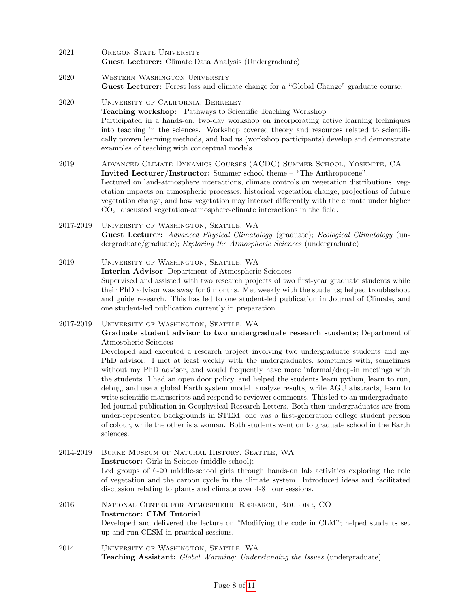- 2021 OREGON STATE UNIVERSITY Guest Lecturer: Climate Data Analysis (Undergraduate)
- 2020 WESTERN WASHINGTON UNIVERSITY Guest Lecturer: Forest loss and climate change for a "Global Change" graduate course.

#### 2020 University of California, Berkeley Teaching workshop: Pathways to Scientific Teaching Workshop Participated in a hands-on, two-day workshop on incorporating active learning techniques into teaching in the sciences. Workshop covered theory and resources related to scientifically proven learning methods, and had us (workshop participants) develop and demonstrate examples of teaching with conceptual models.

2019 Advanced Climate Dynamics Courses (ACDC) Summer School, Yosemite, CA Invited Lecturer/Instructor: Summer school theme – "The Anthropocene". Lectured on land-atmosphere interactions, climate controls on vegetation distributions, vegetation impacts on atmospheric processes, historical vegetation change, projections of future vegetation change, and how vegetation may interact differently with the climate under higher CO2; discussed vegetation-atmosphere-climate interactions in the field.

#### 2017-2019 University of Washington, Seattle, WA Guest Lecturer: Advanced Physical Climatology (graduate); Ecological Climatology (undergraduate/graduate); Exploring the Atmospheric Sciences (undergraduate)

2019 University of Washington, Seattle, WA Interim Advisor; Department of Atmospheric Sciences Supervised and assisted with two research projects of two first-year graduate students while their PhD advisor was away for 6 months. Met weekly with the students; helped troubleshoot and guide research. This has led to one student-led publication in Journal of Climate, and one student-led publication currently in preparation.

#### 2017-2019 University of Washington, Seattle, WA Graduate student advisor to two undergraduate research students; Department of Atmospheric Sciences Developed and executed a research project involving two undergraduate students and my PhD advisor. I met at least weekly with the undergraduates, sometimes with, sometimes without my PhD advisor, and would frequently have more informal/drop-in meetings with the students. I had an open door policy, and helped the students learn python, learn to run, debug, and use a global Earth system model, analyze results, write AGU abstracts, learn to write scientific manuscripts and respond to reviewer comments. This led to an undergraduateled journal publication in Geophysical Research Letters. Both then-undergraduates are from

under-represented backgrounds in STEM; one was a first-generation college student person of colour, while the other is a woman. Both students went on to graduate school in the Earth sciences.

2014-2019 Burke Museum of Natural History, Seattle, WA Instructor: Girls in Science (middle-school); Led groups of 6-20 middle-school girls through hands-on lab activities exploring the role of vegetation and the carbon cycle in the climate system. Introduced ideas and facilitated discussion relating to plants and climate over 4-8 hour sessions.

#### 2016 National Center for Atmospheric Research, Boulder, CO Instructor: CLM Tutorial Developed and delivered the lecture on "Modifying the code in CLM"; helped students set up and run CESM in practical sessions.

2014 University of Washington, Seattle, WA Teaching Assistant: Global Warming: Understanding the Issues (undergraduate)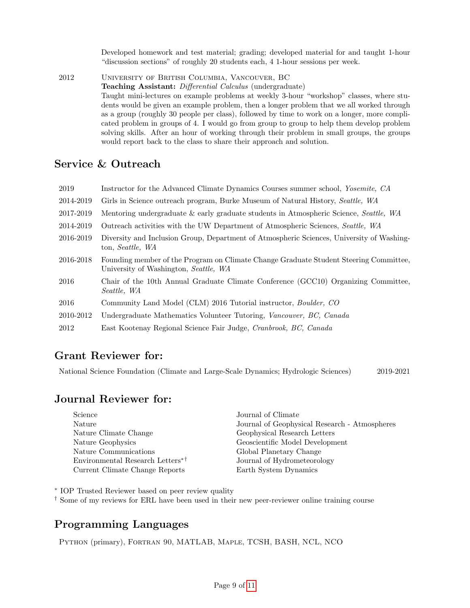Developed homework and test material; grading; developed material for and taught 1-hour "discussion sections" of roughly 20 students each, 4 1-hour sessions per week.

2012 University of British Columbia, Vancouver, BC Teaching Assistant: Differential Calculus (undergraduate) Taught mini-lectures on example problems at weekly 3-hour "workshop" classes, where students would be given an example problem, then a longer problem that we all worked through as a group (roughly 30 people per class), followed by time to work on a longer, more complicated problem in groups of 4. I would go from group to group to help them develop problem solving skills. After an hour of working through their problem in small groups, the groups would report back to the class to share their approach and solution.

### Service & Outreach

| 2019      | Instructor for the Advanced Climate Dynamics Courses summer school, <i>Yosemite</i> , CA                                       |
|-----------|--------------------------------------------------------------------------------------------------------------------------------|
| 2014-2019 | Girls in Science outreach program, Burke Museum of Natural History, Seattle, WA                                                |
| 2017-2019 | Mentoring undergraduate & early graduate students in Atmospheric Science, Seattle, WA                                          |
| 2014-2019 | Outreach activities with the UW Department of Atmospheric Sciences, Seattle, WA                                                |
| 2016-2019 | Diversity and Inclusion Group, Department of Atmospheric Sciences, University of Washing-<br>ton, Seattle, WA                  |
| 2016-2018 | Founding member of the Program on Climate Change Graduate Student Steering Committee,<br>University of Washington, Seattle, WA |
| 2016      | Chair of the 10th Annual Graduate Climate Conference (GCC10) Organizing Committee,<br>Seattle, WA                              |
| 2016      | Community Land Model (CLM) 2016 Tutorial instructor, Boulder, CO                                                               |
| 2010-2012 | Undergraduate Mathematics Volunteer Tutoring, Vancouver, BC, Canada                                                            |
| 2012      | East Kootenay Regional Science Fair Judge, Cranbrook, BC, Canada                                                               |
|           |                                                                                                                                |

### Grant Reviewer for:

National Science Foundation (Climate and Large-Scale Dynamics; Hydrologic Sciences) 2019-2021

# Journal Reviewer for:

| Science                                      | Journal of Climate                            |
|----------------------------------------------|-----------------------------------------------|
| Nature                                       | Journal of Geophysical Research - Atmospheres |
| Nature Climate Change                        | Geophysical Research Letters                  |
| Nature Geophysics                            | Geoscientific Model Development               |
| Nature Communications                        | Global Planetary Change                       |
| Environmental Research Letters <sup>*†</sup> | Journal of Hydrometeorology                   |
| Current Climate Change Reports               | Earth System Dynamics                         |

∗ IOP Trusted Reviewer based on peer review quality

† Some of my reviews for ERL have been used in their new peer-reviewer online training course

# Programming Languages

Python (primary), Fortran 90, MATLAB, Maple, TCSH, BASH, NCL, NCO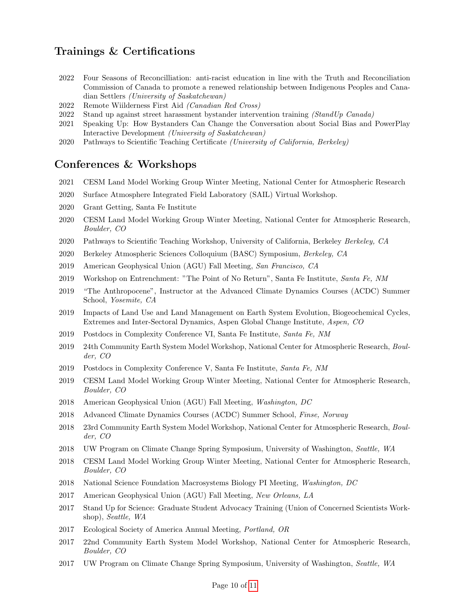### Trainings & Certifications

- 2022 Four Seasons of Reconcilliation: anti-racist education in line with the Truth and Reconciliation Commission of Canada to promote a renewed relationship between Indigenous Peoples and Canadian Settlers (University of Saskatchewan)
- 2022 Remote Wiilderness First Aid (Canadian Red Cross)
- 2022 Stand up against street harassment bystander intervention training (StandUp Canada)
- 2021 Speaking Up: How Bystanders Can Change the Conversation about Social Bias and PowerPlay Interactive Development (University of Saskatchewan)
- 2020 Pathways to Scientific Teaching Certificate (University of California, Berkeley)

### Conferences & Workshops

- 2021 CESM Land Model Working Group Winter Meeting, National Center for Atmospheric Research
- 2020 Surface Atmosphere Integrated Field Laboratory (SAIL) Virtual Workshop.
- 2020 Grant Getting, Santa Fe Institute
- 2020 CESM Land Model Working Group Winter Meeting, National Center for Atmospheric Research, Boulder, CO
- 2020 Pathways to Scientific Teaching Workshop, University of California, Berkeley Berkeley, CA
- 2020 Berkeley Atmospheric Sciences Colloquium (BASC) Symposium, Berkeley, CA
- 2019 American Geophysical Union (AGU) Fall Meeting, San Francisco, CA
- 2019 Workshop on Entrenchment: "The Point of No Return", Santa Fe Institute, Santa Fe, NM
- 2019 "The Anthropocene", Instructor at the Advanced Climate Dynamics Courses (ACDC) Summer School, Yosemite, CA
- 2019 Impacts of Land Use and Land Management on Earth System Evolution, Biogeochemical Cycles, Extremes and Inter-Sectoral Dynamics, Aspen Global Change Institute, Aspen, CO
- 2019 Postdocs in Complexity Conference VI, Santa Fe Institute, Santa Fe, NM
- 2019 24th Community Earth System Model Workshop, National Center for Atmospheric Research, Boulder, CO
- 2019 Postdocs in Complexity Conference V, Santa Fe Institute, Santa Fe, NM
- 2019 CESM Land Model Working Group Winter Meeting, National Center for Atmospheric Research, Boulder, CO
- 2018 American Geophysical Union (AGU) Fall Meeting, Washington, DC
- 2018 Advanced Climate Dynamics Courses (ACDC) Summer School, Finse, Norway
- 2018 23rd Community Earth System Model Workshop, National Center for Atmospheric Research, Boulder, CO
- 2018 UW Program on Climate Change Spring Symposium, University of Washington, Seattle, WA
- 2018 CESM Land Model Working Group Winter Meeting, National Center for Atmospheric Research, Boulder, CO
- 2018 National Science Foundation Macrosystems Biology PI Meeting, Washington, DC
- 2017 American Geophysical Union (AGU) Fall Meeting, New Orleans, LA
- 2017 Stand Up for Science: Graduate Student Advocacy Training (Union of Concerned Scientists Workshop), Seattle, WA
- 2017 Ecological Society of America Annual Meeting, Portland, OR
- 2017 22nd Community Earth System Model Workshop, National Center for Atmospheric Research, Boulder, CO
- 2017 UW Program on Climate Change Spring Symposium, University of Washington, Seattle, WA